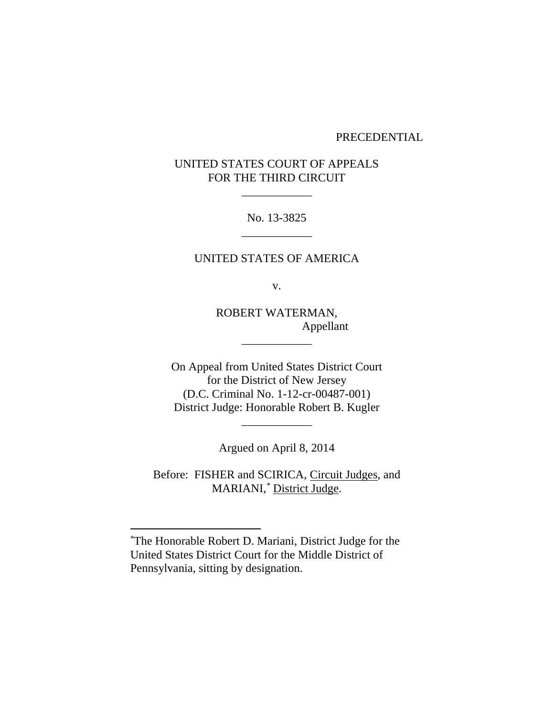## PRECEDENTIAL

## UNITED STATES COURT OF APPEALS FOR THE THIRD CIRCUIT

\_\_\_\_\_\_\_\_\_\_\_\_

No. 13-3825 \_\_\_\_\_\_\_\_\_\_\_\_

UNITED STATES OF AMERICA

v.

ROBERT WATERMAN, Appellant

\_\_\_\_\_\_\_\_\_\_\_\_

On Appeal from United States District Court for the District of New Jersey (D.C. Criminal No. 1-12-cr-00487-001) District Judge: Honorable Robert B. Kugler

Argued on April 8, 2014

\_\_\_\_\_\_\_\_\_\_\_\_

Before: FISHER and SCIRICA, Circuit Judges, and MARIANI,*\** District Judge.

 $\overline{a}$ 

<sup>\*</sup>The Honorable Robert D. Mariani, District Judge for the United States District Court for the Middle District of Pennsylvania, sitting by designation.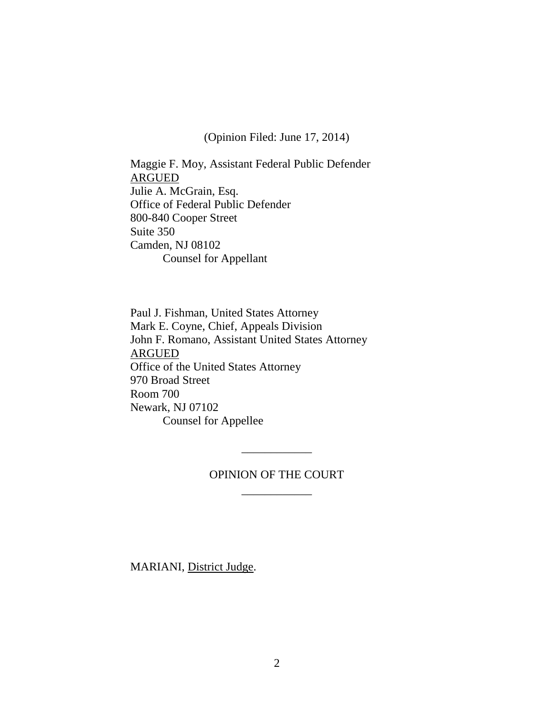(Opinion Filed: June 17, 2014)

Maggie F. Moy, Assistant Federal Public Defender ARGUED Julie A. McGrain, Esq. Office of Federal Public Defender 800-840 Cooper Street Suite 350 Camden, NJ 08102 Counsel for Appellant

Paul J. Fishman, United States Attorney Mark E. Coyne, Chief, Appeals Division John F. Romano, Assistant United States Attorney ARGUED Office of the United States Attorney 970 Broad Street Room 700 Newark, NJ 07102 Counsel for Appellee

## OPINION OF THE COURT \_\_\_\_\_\_\_\_\_\_\_\_

\_\_\_\_\_\_\_\_\_\_\_\_

MARIANI, District Judge.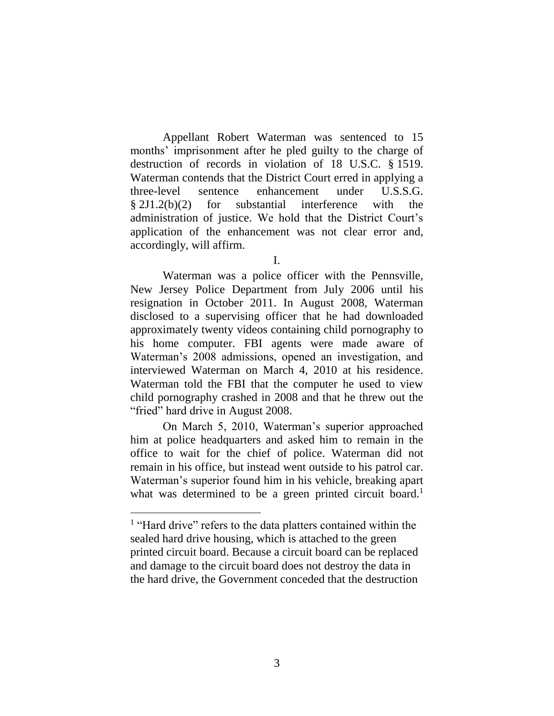Appellant Robert Waterman was sentenced to 15 months' imprisonment after he pled guilty to the charge of destruction of records in violation of 18 U.S.C. § 1519. Waterman contends that the District Court erred in applying a three-level sentence enhancement under U.S.S.G. § 2J1.2(b)(2) for substantial interference with the administration of justice. We hold that the District Court's application of the enhancement was not clear error and, accordingly, will affirm.

Waterman was a police officer with the Pennsville, New Jersey Police Department from July 2006 until his resignation in October 2011. In August 2008, Waterman disclosed to a supervising officer that he had downloaded approximately twenty videos containing child pornography to his home computer. FBI agents were made aware of Waterman's 2008 admissions, opened an investigation, and interviewed Waterman on March 4, 2010 at his residence. Waterman told the FBI that the computer he used to view child pornography crashed in 2008 and that he threw out the "fried" hard drive in August 2008.

On March 5, 2010, Waterman's superior approached him at police headquarters and asked him to remain in the office to wait for the chief of police. Waterman did not remain in his office, but instead went outside to his patrol car. Waterman's superior found him in his vehicle, breaking apart what was determined to be a green printed circuit board.<sup>1</sup>

I.

<sup>&</sup>lt;sup>1</sup> "Hard drive" refers to the data platters contained within the sealed hard drive housing, which is attached to the green printed circuit board. Because a circuit board can be replaced and damage to the circuit board does not destroy the data in the hard drive, the Government conceded that the destruction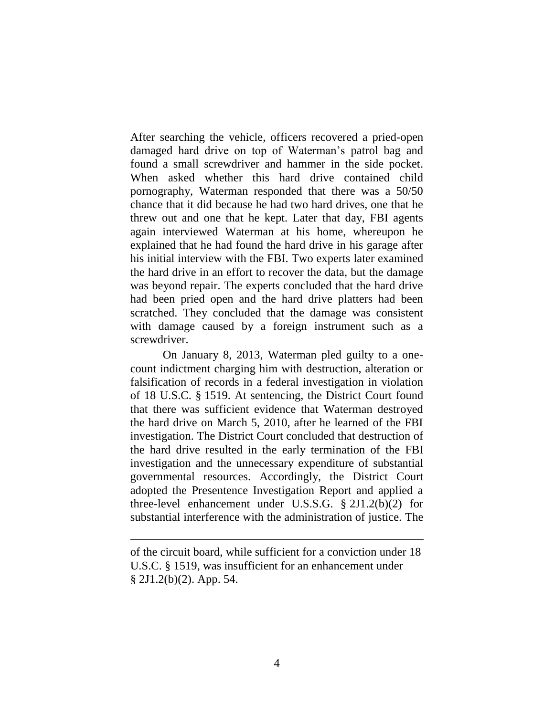After searching the vehicle, officers recovered a pried-open damaged hard drive on top of Waterman's patrol bag and found a small screwdriver and hammer in the side pocket. When asked whether this hard drive contained child pornography, Waterman responded that there was a 50/50 chance that it did because he had two hard drives, one that he threw out and one that he kept. Later that day, FBI agents again interviewed Waterman at his home, whereupon he explained that he had found the hard drive in his garage after his initial interview with the FBI. Two experts later examined the hard drive in an effort to recover the data, but the damage was beyond repair. The experts concluded that the hard drive had been pried open and the hard drive platters had been scratched. They concluded that the damage was consistent with damage caused by a foreign instrument such as a screwdriver.

On January 8, 2013, Waterman pled guilty to a onecount indictment charging him with destruction, alteration or falsification of records in a federal investigation in violation of 18 U.S.C. § 1519. At sentencing, the District Court found that there was sufficient evidence that Waterman destroyed the hard drive on March 5, 2010, after he learned of the FBI investigation. The District Court concluded that destruction of the hard drive resulted in the early termination of the FBI investigation and the unnecessary expenditure of substantial governmental resources. Accordingly, the District Court adopted the Presentence Investigation Report and applied a three-level enhancement under U.S.S.G. § 2J1.2(b)(2) for substantial interference with the administration of justice. The

 $\overline{a}$ 

of the circuit board, while sufficient for a conviction under 18 U.S.C. § 1519, was insufficient for an enhancement under § 2J1.2(b)(2). App. 54.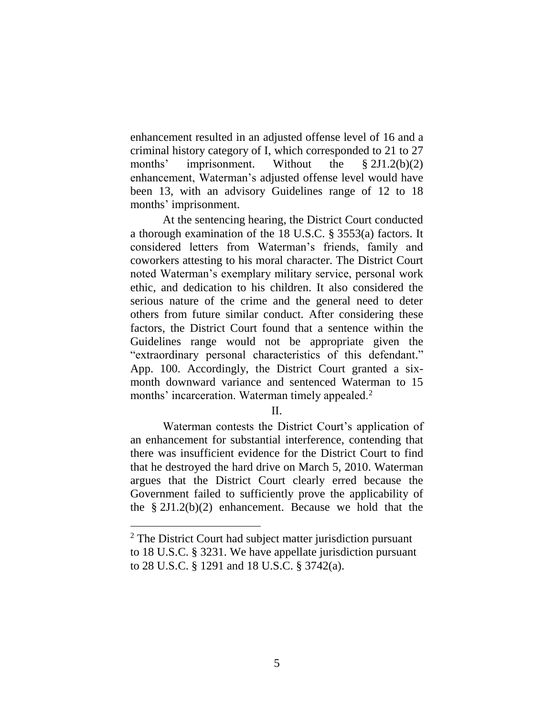enhancement resulted in an adjusted offense level of 16 and a criminal history category of I, which corresponded to 21 to 27 months' imprisonment. Without the § 2J1.2(b)(2) enhancement, Waterman's adjusted offense level would have been 13, with an advisory Guidelines range of 12 to 18 months' imprisonment.

At the sentencing hearing, the District Court conducted a thorough examination of the 18 U.S.C. § 3553(a) factors. It considered letters from Waterman's friends, family and coworkers attesting to his moral character. The District Court noted Waterman's exemplary military service, personal work ethic, and dedication to his children. It also considered the serious nature of the crime and the general need to deter others from future similar conduct. After considering these factors, the District Court found that a sentence within the Guidelines range would not be appropriate given the "extraordinary personal characteristics of this defendant." App. 100. Accordingly, the District Court granted a sixmonth downward variance and sentenced Waterman to 15 months' incarceration. Waterman timely appealed.<sup>2</sup>

II.

Waterman contests the District Court's application of an enhancement for substantial interference, contending that there was insufficient evidence for the District Court to find that he destroyed the hard drive on March 5, 2010. Waterman argues that the District Court clearly erred because the Government failed to sufficiently prove the applicability of the § 2J1.2(b)(2) enhancement. Because we hold that the

 $\overline{a}$ 

<sup>&</sup>lt;sup>2</sup> The District Court had subject matter jurisdiction pursuant to 18 U.S.C. § 3231. We have appellate jurisdiction pursuant to 28 U.S.C. § 1291 and 18 U.S.C. § 3742(a).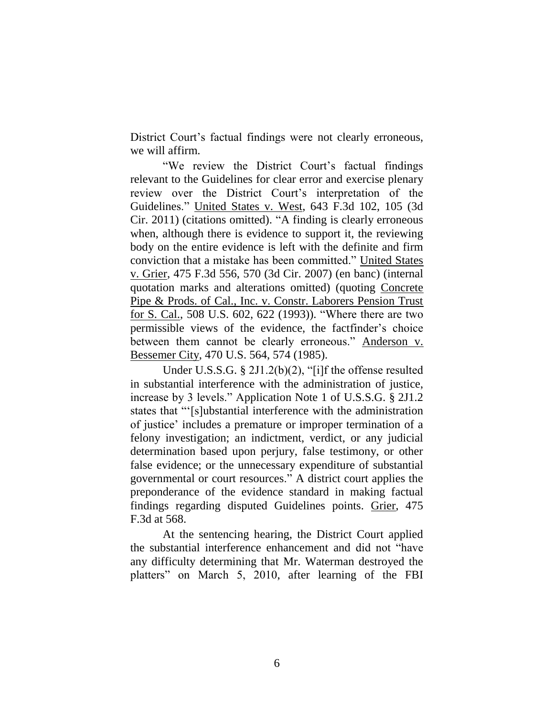District Court's factual findings were not clearly erroneous, we will affirm.

"We review the District Court's factual findings relevant to the Guidelines for clear error and exercise plenary review over the District Court's interpretation of the Guidelines." United States v. West, 643 F.3d 102, 105 (3d Cir. 2011) (citations omitted). "A finding is clearly erroneous when, although there is evidence to support it, the reviewing body on the entire evidence is left with the definite and firm conviction that a mistake has been committed." United States v. Grier, 475 F.3d 556, 570 (3d Cir. 2007) (en banc) (internal quotation marks and alterations omitted) (quoting Concrete Pipe & Prods. of Cal., Inc. v. Constr. Laborers Pension Trust for S. Cal., 508 U.S. 602, 622 (1993)). "Where there are two permissible views of the evidence, the factfinder's choice between them cannot be clearly erroneous." Anderson v. Bessemer City, 470 U.S. 564, 574 (1985).

Under U.S.S.G. § 2J1.2(b)(2), "[i]f the offense resulted in substantial interference with the administration of justice, increase by 3 levels." Application Note 1 of U.S.S.G. § 2J1.2 states that "'[s]ubstantial interference with the administration of justice' includes a premature or improper termination of a felony investigation; an indictment, verdict, or any judicial determination based upon perjury, false testimony, or other false evidence; or the unnecessary expenditure of substantial governmental or court resources." A district court applies the preponderance of the evidence standard in making factual findings regarding disputed Guidelines points. Grier, 475 F.3d at 568.

At the sentencing hearing, the District Court applied the substantial interference enhancement and did not "have any difficulty determining that Mr. Waterman destroyed the platters" on March 5, 2010, after learning of the FBI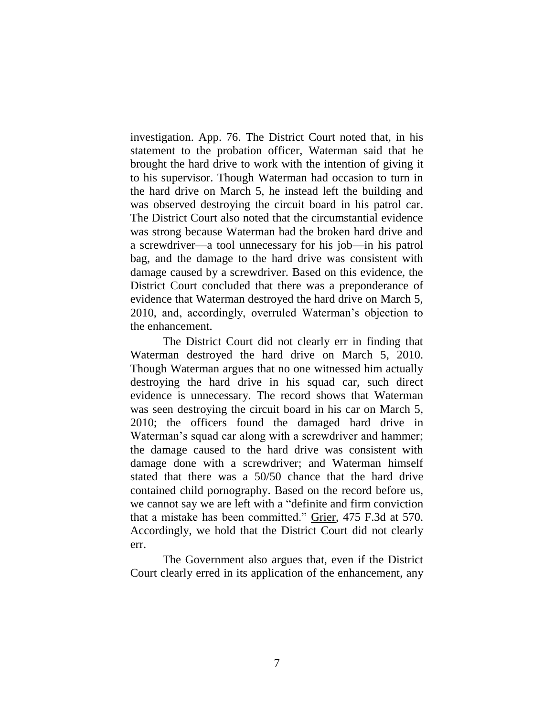investigation. App. 76. The District Court noted that, in his statement to the probation officer, Waterman said that he brought the hard drive to work with the intention of giving it to his supervisor. Though Waterman had occasion to turn in the hard drive on March 5, he instead left the building and was observed destroying the circuit board in his patrol car. The District Court also noted that the circumstantial evidence was strong because Waterman had the broken hard drive and a screwdriver—a tool unnecessary for his job—in his patrol bag, and the damage to the hard drive was consistent with damage caused by a screwdriver. Based on this evidence, the District Court concluded that there was a preponderance of evidence that Waterman destroyed the hard drive on March 5, 2010, and, accordingly, overruled Waterman's objection to the enhancement.

The District Court did not clearly err in finding that Waterman destroyed the hard drive on March 5, 2010. Though Waterman argues that no one witnessed him actually destroying the hard drive in his squad car, such direct evidence is unnecessary. The record shows that Waterman was seen destroying the circuit board in his car on March 5, 2010; the officers found the damaged hard drive in Waterman's squad car along with a screwdriver and hammer; the damage caused to the hard drive was consistent with damage done with a screwdriver; and Waterman himself stated that there was a 50/50 chance that the hard drive contained child pornography. Based on the record before us, we cannot say we are left with a "definite and firm conviction that a mistake has been committed." Grier, 475 F.3d at 570. Accordingly, we hold that the District Court did not clearly err.

The Government also argues that, even if the District Court clearly erred in its application of the enhancement, any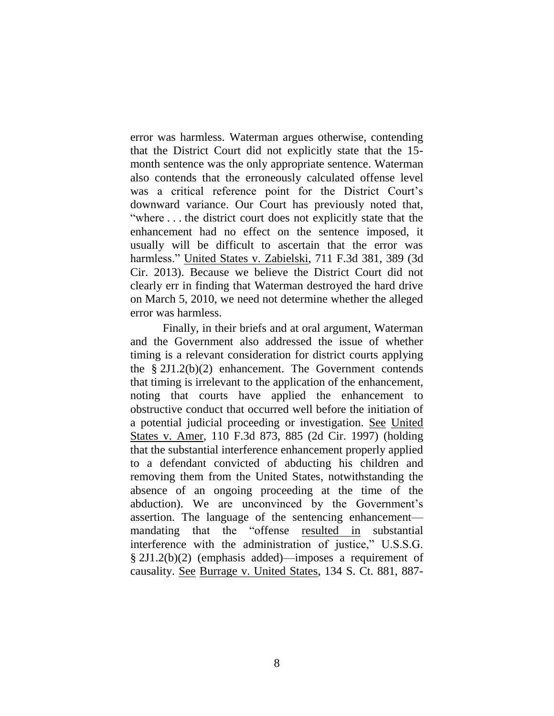error was harmless. Waterman argues otherwise, contending that the District Court did not explicitly state that the 15 month sentence was the only appropriate sentence. Waterman also contends that the erroneously calculated offense level was a critical reference point for the District Court's downward variance. Our Court has previously noted that, "where . . . the district court does not explicitly state that the enhancement had no effect on the sentence imposed, it usually will be difficult to ascertain that the error was harmless." United States v. Zabielski, 711 F.3d 381, 389 (3d Cir. 2013). Because we believe the District Court did not clearly err in finding that Waterman destroyed the hard drive on March 5, 2010, we need not determine whether the alleged error was harmless.

Finally, in their briefs and at oral argument, Waterman and the Government also addressed the issue of whether timing is a relevant consideration for district courts applying the § 2J1.2(b)(2) enhancement. The Government contends that timing is irrelevant to the application of the enhancement, noting that courts have applied the enhancement to obstructive conduct that occurred well before the initiation of a potential judicial proceeding or investigation. See United States v. Amer, 110 F.3d 873, 885 (2d Cir. 1997) (holding that the substantial interference enhancement properly applied to a defendant convicted of abducting his children and removing them from the United States, notwithstanding the absence of an ongoing proceeding at the time of the abduction). We are unconvinced by the Government's assertion. The language of the sentencing enhancement mandating that the "offense resulted in substantial interference with the administration of justice," U.S.S.G. § 2J1.2(b)(2) (emphasis added)—imposes a requirement of causality. See Burrage v. United States, 134 S. Ct. 881, 887-